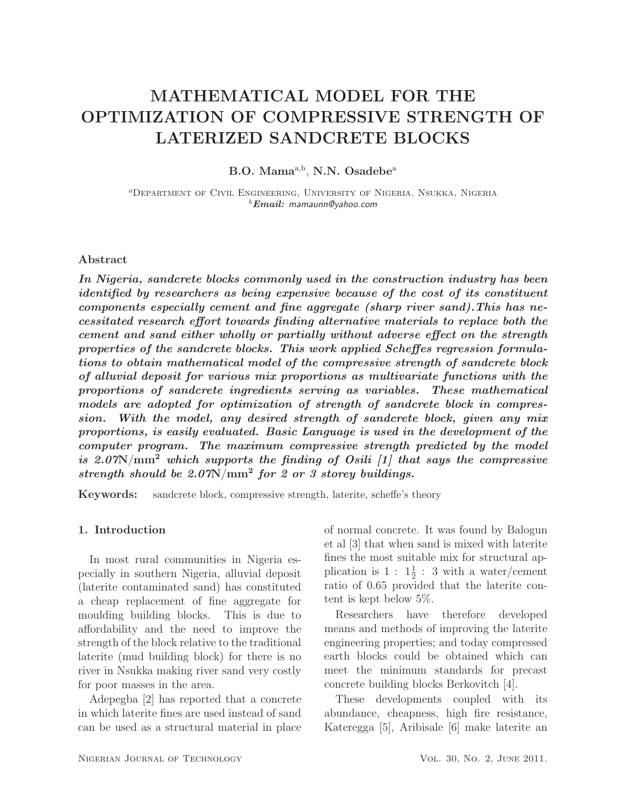# MATHEMATICAL MODEL FOR THE OPTIMIZATION OF COMPRESSIVE STRENGTH OF LATERIZED SANDCRETE BLOCKS

B.O. Mama<sup>a,b</sup>, N.N. Osadebe<sup>a</sup>

<sup>a</sup>Department of Civil Engineering, University of Nigeria, Nsukka, Nigeria <sup>b</sup>*Email:* mamaunn@yahoo.com

#### Abstract

*In Nigeria, sandcrete blocks commonly used in the construction industry has been identified by researchers as being expensive because of the cost of its constituent components especially cement and fine aggregate (sharp river sand).This has necessitated research effort towards finding alternative materials to replace both the cement and sand either wholly or partially without adverse effect on the strength properties of the sandcrete blocks. This work applied Scheffes regression formulations to obtain mathematical model of the compressive strength of sandcrete block of alluvial deposit for various mix proportions as multivariate functions with the proportions of sandcrete ingredients serving as variables. These mathematical models are adopted for optimization of strength of sandcrete block in compression. With the model, any desired strength of sandcrete block, given any mix proportions, is easily evaluated. Basic Language is used in the development of the computer program. The maximum compressive strength predicted by the model is 2.07*N/mm<sup>2</sup> *which supports the finding of Osili [1] that says the compressive strength should be 2.07*N/mm<sup>2</sup> *for 2 or 3 storey buildings.*

Keywords: sandcrete block, compressive strength, laterite, scheffe's theory

# 1. Introduction

In most rural communities in Nigeria especially in southern Nigeria, alluvial deposit (laterite contaminated sand) has constituted a cheap replacement of fine aggregate for moulding building blocks. This is due to affordability and the need to improve the strength of the block relative to the traditional laterite (mud building block) for there is no river in Nsukka making river sand very costly for poor masses in the area.

Adepegba [2] has reported that a concrete in which laterite fines are used instead of sand can be used as a structural material in place of normal concrete. It was found by Balogun et al [3] that when sand is mixed with laterite fines the most suitable mix for structural application is  $1: 1\frac{1}{2}: 3$  with a water/cement ratio of 0.65 provided that the laterite content is kept below 5%.

Researchers have therefore developed means and methods of improving the laterite engineering properties; and today compressed earth blocks could be obtained which can meet the minimum standards for precast concrete building blocks Berkovitch [4].

These developments coupled with its abundance, cheapness, high fire resistance, Kateregga [5], Aribisale [6] make laterite an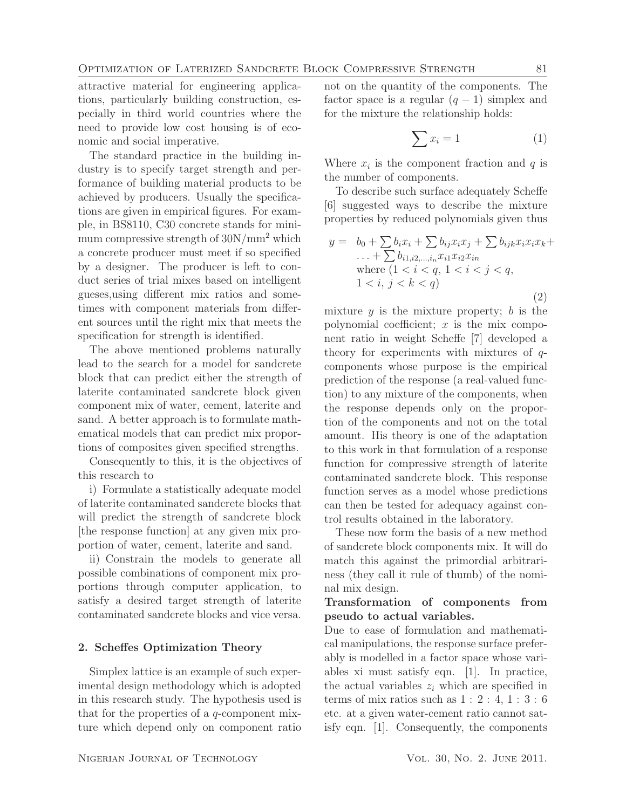attractive material for engineering applications, particularly building construction, especially in third world countries where the need to provide low cost housing is of economic and social imperative.

The standard practice in the building industry is to specify target strength and performance of building material products to be achieved by producers. Usually the specifications are given in empirical figures. For example, in BS8110, C30 concrete stands for minimum compressive strength of  $30N/mm^2$  which a concrete producer must meet if so specified by a designer. The producer is left to conduct series of trial mixes based on intelligent gueses,using different mix ratios and sometimes with component materials from different sources until the right mix that meets the specification for strength is identified.

The above mentioned problems naturally lead to the search for a model for sandcrete block that can predict either the strength of laterite contaminated sandcrete block given component mix of water, cement, laterite and sand. A better approach is to formulate mathematical models that can predict mix proportions of composites given specified strengths.

Consequently to this, it is the objectives of this research to

i) Formulate a statistically adequate model of laterite contaminated sandcrete blocks that will predict the strength of sandcrete block [the response function] at any given mix proportion of water, cement, laterite and sand.

ii) Constrain the models to generate all possible combinations of component mix proportions through computer application, to satisfy a desired target strength of laterite contaminated sandcrete blocks and vice versa.

#### 2. Scheffes Optimization Theory

Simplex lattice is an example of such experimental design methodology which is adopted in this research study. The hypothesis used is that for the properties of a q-component mixture which depend only on component ratio

not on the quantity of the components. The factor space is a regular  $(q - 1)$  simplex and for the mixture the relationship holds:

$$
\sum x_i = 1 \tag{1}
$$

Where  $x_i$  is the component fraction and q is the number of components.

To describe such surface adequately Scheffe [6] suggested ways to describe the mixture properties by reduced polynomials given thus

$$
y = b_0 + \sum b_i x_i + \sum b_{ij} x_i x_j + \sum b_{ijk} x_i x_i x_k + ... + \sum b_{i1, i2, ..., i_n} x_{i1} x_{i2} x_{in}
$$
  
where  $(1 < i < q, 1 < i < j < q,$   
 $1 < i, j < k < q$ ) (2)

mixture  $y$  is the mixture property;  $b$  is the polynomial coefficient;  $x$  is the mix component ratio in weight Scheffe [7] developed a theory for experiments with mixtures of qcomponents whose purpose is the empirical prediction of the response (a real-valued function) to any mixture of the components, when the response depends only on the proportion of the components and not on the total amount. His theory is one of the adaptation to this work in that formulation of a response function for compressive strength of laterite contaminated sandcrete block. This response function serves as a model whose predictions can then be tested for adequacy against control results obtained in the laboratory.

These now form the basis of a new method of sandcrete block components mix. It will do match this against the primordial arbitrariness (they call it rule of thumb) of the nominal mix design.

# Transformation of components from pseudo to actual variables.

Due to ease of formulation and mathematical manipulations, the response surface preferably is modelled in a factor space whose variables xi must satisfy eqn. [1]. In practice, the actual variables  $z_i$  which are specified in terms of mix ratios such as  $1: 2: 4, 1: 3: 6$ etc. at a given water-cement ratio cannot satisfy eqn. [1]. Consequently, the components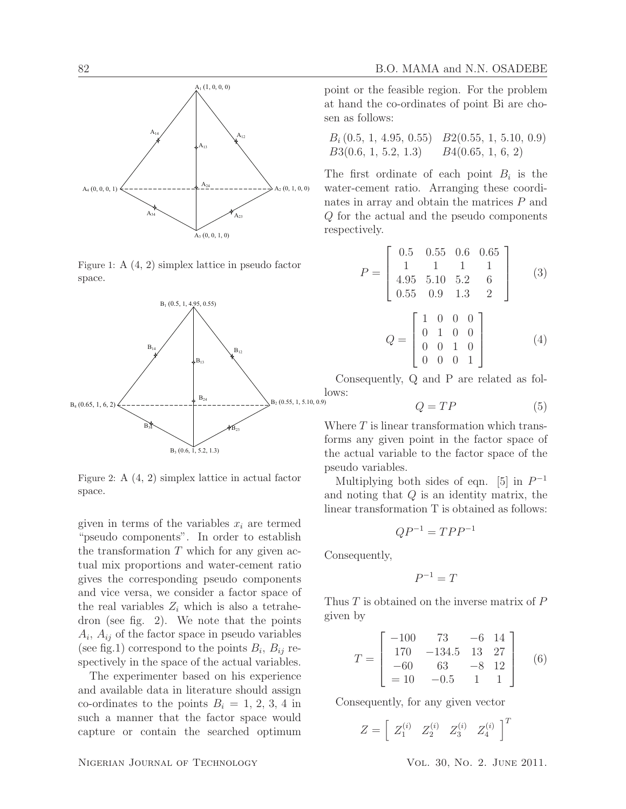

Figure 1: A (4, 2) simplex lattice in pseudo factor space.



Figure 2: A (4, 2) simplex lattice in actual factor space.

given in terms of the variables  $x_i$  are termed "pseudo components". In order to establish the transformation  $T$  which for any given actual mix proportions and water-cement ratio gives the corresponding pseudo components and vice versa, we consider a factor space of the real variables  $Z_i$  which is also a tetrahedron (see fig. 2). We note that the points  $A_i$ ,  $A_{ij}$  of the factor space in pseudo variables (see fig.1) correspond to the points  $B_i$ ,  $B_{ij}$  respectively in the space of the actual variables.

The experimenter based on his experience and available data in literature should assign co-ordinates to the points  $B_i = 1, 2, 3, 4$  in such a manner that the factor space would capture or contain the searched optimum

point or the feasible region. For the problem at hand the co-ordinates of point Bi are chosen as follows:

$$
B_i (0.5, 1, 4.95, 0.55) \quad B2(0.55, 1, 5.10, 0.9) B3(0.6, 1, 5.2, 1.3) \quad B4(0.65, 1, 6, 2)
$$

The first ordinate of each point  $B_i$  is the water-cement ratio. Arranging these coordinates in array and obtain the matrices P and Q for the actual and the pseudo components respectively.

$$
P = \begin{bmatrix} 0.5 & 0.55 & 0.6 & 0.65 \\ 1 & 1 & 1 & 1 \\ 4.95 & 5.10 & 5.2 & 6 \\ 0.55 & 0.9 & 1.3 & 2 \end{bmatrix}
$$
 (3)

$$
Q = \begin{bmatrix} 1 & 0 & 0 & 0 \\ 0 & 1 & 0 & 0 \\ 0 & 0 & 1 & 0 \\ 0 & 0 & 0 & 1 \end{bmatrix}
$$
 (4)

Consequently, Q and P are related as follows:

$$
Q = TP \tag{5}
$$

Where  $T$  is linear transformation which transforms any given point in the factor space of the actual variable to the factor space of the pseudo variables.

Multiplying both sides of eqn. [5] in  $P^{-1}$ and noting that Q is an identity matrix, the linear transformation T is obtained as follows:

$$
QP^{-1} = TPP^{-1}
$$

Consequently,

$$
P^{-1}=T
$$

Thus  $T$  is obtained on the inverse matrix of  $P$ given by

$$
T = \begin{bmatrix} -100 & 73 & -6 & 14 \\ 170 & -134.5 & 13 & 27 \\ -60 & 63 & -8 & 12 \\ = 10 & -0.5 & 1 & 1 \end{bmatrix}
$$
 (6)

Consequently, for any given vector

$$
Z = \left[ \begin{array}{cc} Z_1^{(i)} & Z_2^{(i)} & Z_3^{(i)} & Z_4^{(i)} \end{array} \right]^T
$$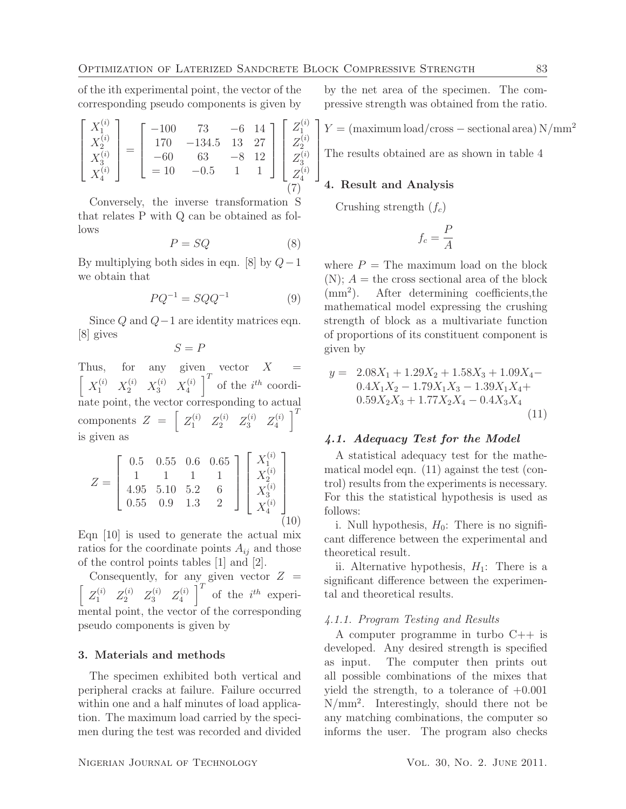of the ith experimental point, the vector of the corresponding pseudo components is given by

$$
\begin{bmatrix} X_1^{(i)} \\ X_2^{(i)} \\ X_3^{(i)} \\ X_4^{(i)} \end{bmatrix} = \begin{bmatrix} -100 & 73 & -6 & 14 \\ 170 & -134.5 & 13 & 27 \\ -60 & 63 & -8 & 12 \\ = 10 & -0.5 & 1 & 1 \end{bmatrix} \begin{bmatrix} Z_1^{(i)} \\ Z_2^{(i)} \\ Z_3^{(i)} \\ Z_4^{(i)} \end{bmatrix}
$$

Conversely, the inverse transformation S that relates P with Q can be obtained as follows

$$
P = SQ \tag{8}
$$

By multiplying both sides in eqn. [8] by  $Q-1$ we obtain that

$$
PQ^{-1} = SQQ^{-1} \tag{9}
$$

Since  $Q$  and  $Q-1$  are identity matrices eqn. [8] gives

 $S = P$ 

Thus, for any given vector  $X =$  $\begin{bmatrix} X_1^{(i)} & X_2^{(i)} & X_3^{(i)} & X_4^{(i)} \end{bmatrix}$  $\left[\begin{matrix} i \\ 4 \end{matrix}\right]^T$  of the  $i^{th}$  coordinate point, the vector corresponding to actual components  $Z = \begin{bmatrix} Z_1^{(i)} & Z_2^{(i)} & Z_3^{(i)} & Z_4^{(i)} \end{bmatrix}$  $\begin{bmatrix} i \\ 4 \end{bmatrix}^T$ is given as

$$
Z = \begin{bmatrix} 0.5 & 0.55 & 0.6 & 0.65 \\ 1 & 1 & 1 & 1 \\ 4.95 & 5.10 & 5.2 & 6 \\ 0.55 & 0.9 & 1.3 & 2 \end{bmatrix} \begin{bmatrix} X_1^{(i)} \\ X_2^{(i)} \\ X_3^{(i)} \\ X_4^{(i)} \end{bmatrix}
$$
(10)

Eqn [10] is used to generate the actual mix ratios for the coordinate points  $A_{ij}$  and those of the control points tables [1] and [2].

Consequently, for any given vector  $Z =$ h  $Z_1^{(i)}$   $Z_2^{(i)}$   $Z_3^{(i)}$   $Z_4^{(i)}$  $\left[\begin{matrix} i \\ 4 \end{matrix}\right]^T$  of the  $i^{th}$  experimental point, the vector of the corresponding pseudo components is given by

#### 3. Materials and methods

The specimen exhibited both vertical and peripheral cracks at failure. Failure occurred within one and a half minutes of load application. The maximum load carried by the specimen during the test was recorded and divided by the net area of the specimen. The compressive strength was obtained from the ratio.

 $\left[ Y = \frac{\text{(maximum load/cross - sectional area)}{N/\text{mm}^2} \right]$ 

The results obtained are as shown in table 4

## 4. Result and Analysis

Crushing strength  $(f_c)$ 

$$
f_c = \frac{P}{A}
$$

where  $P =$  The maximum load on the block  $(N)$ ;  $A =$  the cross sectional area of the block  $\text{(mm}^2)$ . ). After determining coefficients,the mathematical model expressing the crushing strength of block as a multivariate function of proportions of its constituent component is given by

$$
y = 2.08X_1 + 1.29X_2 + 1.58X_3 + 1.09X_4 - 0.4X_1X_2 - 1.79X_1X_3 - 1.39X_1X_4 + 0.59X_2X_3 + 1.77X_2X_4 - 0.4X_3X_4
$$
\n(11)

## *4.1. Adequacy Test for the Model*

A statistical adequacy test for the mathematical model eqn. (11) against the test (control) results from the experiments is necessary. For this the statistical hypothesis is used as follows:

i. Null hypothesis,  $H_0$ : There is no significant difference between the experimental and theoretical result.

ii. Alternative hypothesis,  $H_1$ : There is a significant difference between the experimental and theoretical results.

#### 4.1.1. Program Testing and Results

A computer programme in turbo C++ is developed. Any desired strength is specified as input. The computer then prints out all possible combinations of the mixes that yield the strength, to a tolerance of  $+0.001$ N/mm<sup>2</sup> . Interestingly, should there not be any matching combinations, the computer so informs the user. The program also checks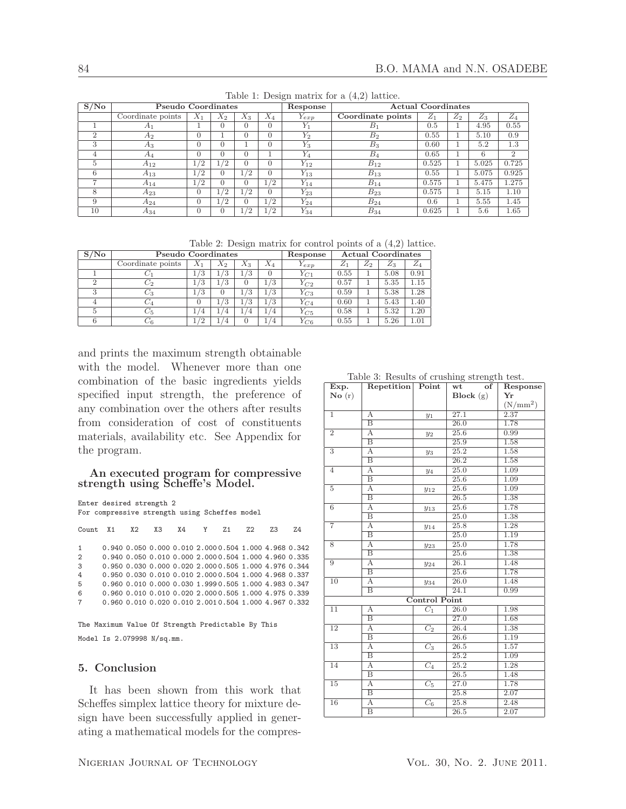| S/No          | $\epsilon$ )<br><b>Pseudo Coordinates</b> |       |       |       |            | Response  | Actual Coordinates |       |       |       |                |
|---------------|-------------------------------------------|-------|-------|-------|------------|-----------|--------------------|-------|-------|-------|----------------|
|               | Coordinate points                         | $X_1$ | $X_2$ | $X_3$ | $X_4$      | $Y_{exp}$ | Coordinate points  | $Z_1$ | $Z_2$ | $Z_3$ | $Z_4$          |
|               | A1                                        |       |       |       | $\Omega$   | $Y_1$     | $B_1$              | 0.5   |       | 4.95  | 0.55           |
| $\mathcal{D}$ | A <sub>2</sub>                            | 0     |       |       | $\Omega$   | $Y_2$     | B <sub>2</sub>     | 0.55  |       | 5.10  | 0.9            |
| 3             | $A_3$                                     | 0     |       |       |            | $Y_3$     | $B_3$              | 0.60  |       | 5.2   | 1.3            |
| 4             | A4                                        | 0     |       |       |            | $Y_4$     | $B_4$              | 0.65  |       | 6     | $\overline{2}$ |
| $\frac{5}{2}$ | $A_{12}$                                  | 1/2   | /2    |       |            | $Y_{12}$  | $B_{12}$           | 0.525 |       | 5.025 | 0.725          |
| 6             | $A_{13}$                                  | 1/2   |       | /2    | $\Omega$   | $Y_{13}$  | $B_{13}$           | 0.55  |       | 5.075 | 0.925          |
|               | $A_{14}$                                  | 1/2   |       |       | $\sqrt{2}$ | $Y_{14}$  | $B_{14}$           | 0.575 |       | 5.475 | 1.275          |
| 8             | $A_{23}$                                  | 0     | /2    | /2    |            | $Y_{23}$  | $B_{23}$           | 0.575 |       | 5.15  | 1.10           |
| 9             | A24                                       | 0     | /2    |       | /2         | $Y_{24}$  | $B_{24}$           | 0.6   |       | 5.55  | 1.45           |
| 10            | $A_{34}$                                  | 0     |       | /2    | /2         | $Y_{34}$  | $B_{34}$           | 0.625 |       | 5.6   | 1.65           |

Table 1: Design matrix for a (4,2) lattice.

Table 2: Design matrix for control points of a (4,2) lattice.

| S/No | Pseudo Coordinates  | Response      | <b>Actual Coordinates</b> |       |               |           |       |                |       |       |
|------|---------------------|---------------|---------------------------|-------|---------------|-----------|-------|----------------|-------|-------|
|      | Coordinate points   | $X_1$         | $X_2$                     | $X_3$ | $X_4$         | $Y_{exp}$ | $Z_1$ | $\mathrm{Z}_2$ | $Z_3$ | $Z_4$ |
|      | ◡                   | $\frac{1}{3}$ | l/3                       | ./3   |               | $Y_{C1}$  | 0.55  |                | 5.08  | 0.91  |
|      | $\scriptstyle{C_2}$ | ./3           | l/3                       |       | $\frac{1}{3}$ | $Y_{C2}$  | 0.57  |                | 5.35  | 1.15  |
| 3    | $C_3$               | /3            | $\Omega$                  | /3    | l /3          | $Y_{C3}$  | 0.59  |                | 5.38  | 1.28  |
|      | $\scriptstyle C_4$  | $\theta$      | ! /3                      | ./3   | 1/3           | $Y_{C4}$  | 0.60  |                | 5.43  | 1.40  |
|      | $C_{\rm 5}$         | '4            | ΄4                        | ′4    | $\frac{4}{4}$ | $Y_{C5}$  | 0.58  |                | 5.32  | 1.20  |
|      | C6                  | /2            | 4                         | 0     | ′4            | $Y_{C6}$  | 0.55  |                | 5.26  | 1.01  |

and prints the maximum strength obtainable with the model. Whenever more than one combination of the basic ingredients yields specified input strength, the preference of any combination over the others after results from consideration of cost of constituents materials, availability etc. See Appendix for the program.

#### An executed program for compressive strength using Scheffe's Model.

Enter desired strength 2

For compressive strength using Scheffes model

|                | Count X1 X2 X3 X4 Y Z1 |                                                       |  |  | Z <sub>2</sub> | 7.3 | 7.4 |
|----------------|------------------------|-------------------------------------------------------|--|--|----------------|-----|-----|
| $\mathbf{1}$   |                        | 0.940 0.050 0.000 0.010 2.000 0.504 1.000 4.968 0.342 |  |  |                |     |     |
| $\overline{2}$ |                        | 0.940 0.050 0.010 0.000 2.000 0.504 1.000 4.960 0.335 |  |  |                |     |     |
| 3              |                        | 0.950 0.030 0.000 0.020 2.000 0.505 1.000 4.976 0.344 |  |  |                |     |     |
| 4              |                        | 0.950 0.030 0.010 0.010 2.000 0.504 1.000 4.968 0.337 |  |  |                |     |     |
| 5              |                        | 0.960 0.010 0.000 0.030 1.999 0.505 1.000 4.983 0.347 |  |  |                |     |     |
| 6              |                        | 0.960 0.010 0.010 0.020 2.000 0.505 1.000 4.975 0.339 |  |  |                |     |     |
| $7^{\circ}$    |                        | 0.960 0.010 0.020 0.010 2.001 0.504 1.000 4.967 0.332 |  |  |                |     |     |
|                |                        |                                                       |  |  |                |     |     |

The Maximum Value Of Strength Predictable By This Model Is 2.079998 N/sq.mm.

## 5. Conclusion

It has been shown from this work that Scheffes simplex lattice theory for mixture design have been successfully applied in generating a mathematical models for the compres-

Table 3: Results of crushing strength test.

| Exp.                      | Repetition Point        |                      | of<br>wt          | Response   |
|---------------------------|-------------------------|----------------------|-------------------|------------|
| $\mathbf{No}(\mathbf{r})$ |                         |                      | Block(g)          | Yr         |
|                           |                         |                      |                   | $(N/mm^2)$ |
| $\overline{1}$            | А                       | $y_1$                | 27.1              | 2.37       |
|                           | $\overline{\mathbf{B}}$ |                      | 26.0              | 1.78       |
| $\overline{2}$            | $\overline{A}$          | $y_2$                | 25.6              | 0.99       |
|                           | $\overline{\mathbf{B}}$ |                      | 25.9              | 1.58       |
| $\overline{3}$            | Α                       | $y_3$                | 25.2              | 1.58       |
|                           | $\overline{\mathbf{B}}$ |                      | 26.2              | 1.58       |
| $\overline{4}$            | А                       | $y_4$                | 25.0              | 1.09       |
|                           | В                       |                      | 25.6              | 1.09       |
| $\overline{5}$            | $\overline{A}$          | $y_{12}$             | 25.6              | 1.09       |
|                           | $_{\rm B}$              |                      | 26.5              | 1.38       |
| $6\overline{6}$           | А                       | $y_{13}$             | 25.6              | 1.78       |
|                           | B                       |                      | 25.0              | 1.38       |
| $\overline{7}$            | A                       | $y_{14}$             | 25.8              | 1.28       |
|                           | $\overline{\mathbf{B}}$ |                      | 25.0              | 1.19       |
| $\overline{8}$            | A                       | $y_{23}$             | 25.0              | 1.78       |
|                           | B                       |                      | 25.6              | 1.38       |
| $\overline{9}$            | $\overline{A}$          | $y_{24}$             | 26.1              | 1.48       |
|                           | $\overline{\mathbf{B}}$ |                      | 25.6              | 1.78       |
| 10                        | A                       | $y_{34}$             | 26.0              | 1.48       |
|                           | B                       |                      | 24.1              | 0.99       |
|                           |                         | <b>Control Point</b> |                   |            |
| 11                        | А                       | $C_1$                | $\overline{26.0}$ | 1.98       |
|                           | $\overline{\mathbf{B}}$ |                      | 27.0              | 1.68       |
| 12                        | A                       | C <sub>2</sub>       | 26.4              | 1.38       |
|                           | $_{\rm B}$              |                      | 26.6              | 1.19       |
| 13                        | А                       | $C_3$                | 26.5              | 1.57       |
|                           | $\overline{B}$          |                      | 25.2              | 1.09       |
| 14                        | А                       | $\overline{C_4}$     | 25.2              | 1.28       |
|                           | $\overline{\mathbf{B}}$ |                      | 26.5              | 1.48       |
| 15                        | А                       | $\overline{C_5}$     | 27.0              | 1.78       |
|                           | $\overline{B}$          |                      | 25.8              | 2.07       |
| 16                        | A                       | $\overline{C_6}$     | 25.8              | 2.48       |
|                           | $_{\rm B}$              |                      | 26.5              | 2.07       |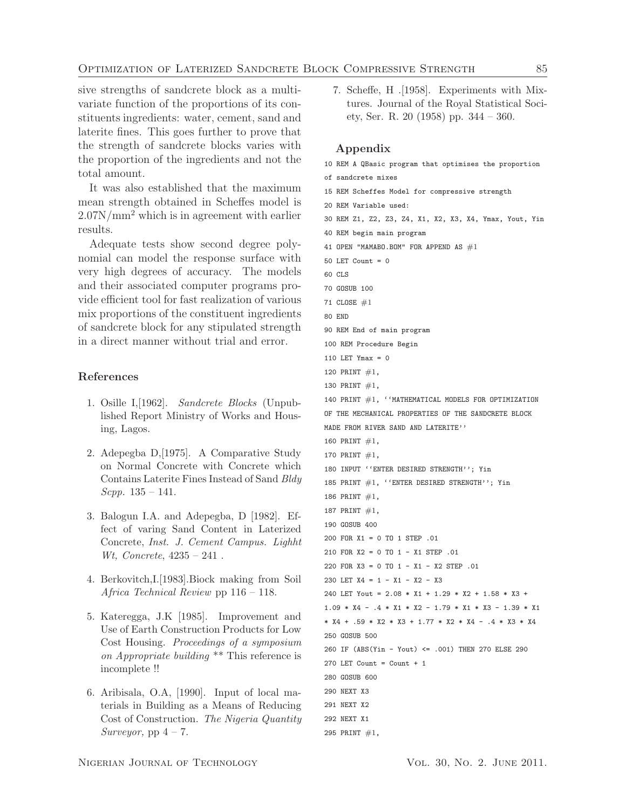sive strengths of sandcrete block as a multivariate function of the proportions of its constituents ingredients: water, cement, sand and laterite fines. This goes further to prove that the strength of sandcrete blocks varies with the proportion of the ingredients and not the total amount.

It was also established that the maximum mean strength obtained in Scheffes model is 2.07N/mm<sup>2</sup> which is in agreement with earlier results.

Adequate tests show second degree polynomial can model the response surface with very high degrees of accuracy. The models and their associated computer programs provide efficient tool for fast realization of various mix proportions of the constituent ingredients of sandcrete block for any stipulated strength in a direct manner without trial and error.

## References

- 1. Osille I,[1962]. Sandcrete Blocks (Unpublished Report Ministry of Works and Housing, Lagos.
- 2. Adepegba D,[1975]. A Comparative Study on Normal Concrete with Concrete which Contains Laterite Fines Instead of Sand Bldy Scpp. 135 – 141.
- 3. Balogun I.A. and Adepegba, D [1982]. Effect of varing Sand Content in Laterized Concrete, Inst. J. Cement Campus. Lighht Wt, Concrete, 4235 – 241 .
- 4. Berkovitch,I.[1983].Biock making from Soil Africa Technical Review pp 116 – 118.
- 5. Kateregga, J.K [1985]. Improvement and Use of Earth Construction Products for Low Cost Housing. Proceedings of a symposium on Appropriate building \*\* This reference is incomplete !!
- 6. Aribisala, O.A, [1990]. Input of local materials in Building as a Means of Reducing Cost of Construction. The Nigeria Quantity Surveyor, pp  $4 - 7$ .

7. Scheffe, H .[1958]. Experiments with Mixtures. Journal of the Royal Statistical Society, Ser. R. 20 (1958) pp. 344 – 360.

### Appendix

10 REM A QBasic program that optimises the proportion of sandcrete mixes 15 REM Scheffes Model for compressive strength 20 REM Variable used: 30 REM Z1, Z2, Z3, Z4, X1, X2, X3, X4, Ymax, Yout, Yin 40 REM begin main program 41 OPEN "MAMABO.BOM" FOR APPEND AS  $#1$ 50 LET Count =  $0$ 60 CLS 70 GOSUB 100 71 CLOSE #1 80 END 90 REM End of main program 100 REM Procedure Begin 110 LET Ymax = 0 120 PRINT #1, 130 PRINT #1, 140 PRINT #1, ''MATHEMATICAL MODELS FOR OPTIMIZATION OF THE MECHANICAL PROPERTIES OF THE SANDCRETE BLOCK MADE FROM RIVER SAND AND LATERITE'' 160 PRINT #1, 170 PRINT  $#1$ , 180 INPUT ''ENTER DESIRED STRENGTH''; Yin 185 PRINT #1, ''ENTER DESIRED STRENGTH''; Yin 186 PRINT #1, 187 PRINT #1, 190 GOSUB 400 200 FOR X1 = 0 TO 1 STEP .01 210 FOR X2 = 0 TO 1 - X1 STEP .01 220 FOR X3 = 0 TO 1 - X1 - X2 STEP .01 230 LET X4 = 1 - X1 - X2 - X3 240 LET Yout = 2.08 \* X1 + 1.29 \* X2 + 1.58 \* X3 +  $1.09 * X4 - .4 * X1 * X2 - 1.79 * X1 * X3 - 1.39 * X1$ \* X4 + .59 \* X2 \* X3 + 1.77 \* X2 \* X4 - .4 \* X3 \* X4 250 GOSUB 500 260 IF (ABS(Yin - Yout) <= .001) THEN 270 ELSE 290 270 LET Count =  $Count + 1$ 280 GOSUB 600 290 NEXT X3 291 NEXT X2 292 NEXT X1 295 PRINT  $#1$ ,